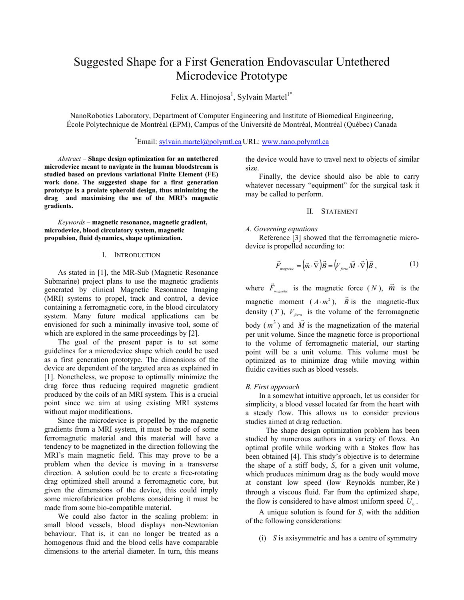# Suggested Shape for a First Generation Endovascular Untethered Microdevice Prototype

Felix A. Hinojosa<sup>1</sup>, Sylvain Martel<sup>1\*</sup>

NanoRobotics Laboratory, Department of Computer Engineering and Institute of Biomedical Engineering, École Polytechnique de Montréal (EPM), Campus of the Université de Montréal, Montréal (Québec) Canada

# \* Email: sylvain.martel@polymtl.ca URL: www.nano.polymtl.ca

*Abstract* – **Shape design optimization for an untethered microdevice meant to navigate in the human bloodstream is studied based on previous variational Finite Element (FE) work done. The suggested shape for a first generation prototype is a prolate spheroid design, thus minimizing the drag and maximising the use of the MRI's magnetic gradients.**

*Keywords* – **magnetic resonance, magnetic gradient, microdevice, blood circulatory system, magnetic propulsion, fluid dynamics, shape optimization.**

# I. INTRODUCTION

As stated in [1], the MR-Sub (Magnetic Resonance Submarine) project plans to use the magnetic gradients generated by clinical Magnetic Resonance Imaging (MRI) systems to propel, track and control, a device containing a ferromagnetic core, in the blood circulatory system. Many future medical applications can be envisioned for such a minimally invasive tool, some of which are explored in the same proceedings by [2].

The goal of the present paper is to set some guidelines for a microdevice shape which could be used as a first generation prototype. The dimensions of the device are dependent of the targeted area as explained in [1]. Nonetheless, we propose to optimally minimize the drag force thus reducing required magnetic gradient produced by the coils of an MRI system. This is a crucial point since we aim at using existing MRI systems without major modifications.

Since the microdevice is propelled by the magnetic gradients from a MRI system, it must be made of some ferromagnetic material and this material will have a tendency to be magnetized in the direction following the MRI's main magnetic field. This may prove to be a problem when the device is moving in a transverse direction. A solution could be to create a free-rotating drag optimized shell around a ferromagnetic core, but given the dimensions of the device, this could imply some microfabrication problems considering it must be made from some bio-compatible material.

We could also factor in the scaling problem: in small blood vessels, blood displays non-Newtonian behaviour. That is, it can no longer be treated as a homogenous fluid and the blood cells have comparable dimensions to the arterial diameter. In turn, this means the device would have to travel next to objects of similar size.

Finally, the device should also be able to carry whatever necessary "equipment" for the surgical task it may be called to perform.

# II. STATEMENT

# *A. Governing equations*

Reference [3] showed that the ferromagnetic microdevice is propelled according to:

$$
\vec{F}_{\text{magnetic}} = (\vec{m} \cdot \vec{\nabla}) \vec{B} = (V_{\text{ferro}} \vec{M} \cdot \vec{\nabla}) \vec{B} , \qquad (1)
$$

where  $\vec{F}_{\text{magnetic}}$  is the magnetic force  $(N)$ ,  $\vec{m}$  is the magnetic moment  $(A \cdot m^2)$ ,  $\vec{B}$  is the magnetic-flux density  $(T)$ ,  $V_{\text{ferro}}$  is the volume of the ferromagnetic body  $(m^3)$  and  $\vec{M}$  is the magnetization of the material per unit volume. Since the magnetic force is proportional to the volume of ferromagnetic material, our starting point will be a unit volume. This volume must be optimized as to minimize drag while moving within fluidic cavities such as blood vessels.

#### *B. First approach*

In a somewhat intuitive approach, let us consider for simplicity, a blood vessel located far from the heart with a steady flow. This allows us to consider previous studies aimed at drag reduction.

The shape design optimization problem has been studied by numerous authors in a variety of flows. An optimal profile while working with a Stokes flow has been obtained [4]. This study's objective is to determine the shape of a stiff body, *S*, for a given unit volume, which produces minimum drag as the body would move at constant low speed (low Reynolds number, Re ) through a viscous fluid. Far from the optimized shape, the flow is considered to have almost uniform speed  $U<sub>o</sub>$ .

A unique solution is found for *S*, with the addition of the following considerations:

(i) *S* is axisymmetric and has a centre of symmetry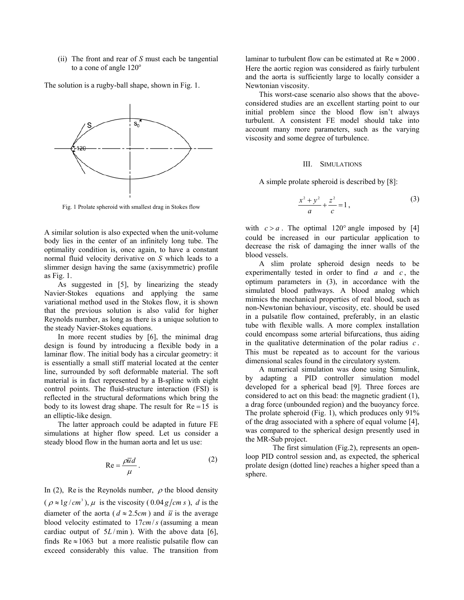(ii) The front and rear of *S* must each be tangential to a cone of angle  $120^\circ$ 

The solution is a rugby-ball shape, shown in Fig. 1.



Fig. 1 Prolate spheroid with smallest drag in Stokes flow

A similar solution is also expected when the unit-volume body lies in the center of an infinitely long tube. The optimality condition is, once again, to have a constant normal fluid velocity derivative on *S* which leads to a slimmer design having the same (axisymmetric) profile as Fig. 1.

As suggested in [5], by linearizing the steady Navier-Stokes equations and applying the same variational method used in the Stokes flow, it is shown that the previous solution is also valid for higher Reynolds number, as long as there is a unique solution to the steady Navier-Stokes equations.

In more recent studies by [6], the minimal drag design is found by introducing a flexible body in a laminar flow. The initial body has a circular geometry: it is essentially a small stiff material located at the center line, surrounded by soft deformable material. The soft material is in fact represented by a B-spline with eight control points. The fluid-structure interaction (FSI) is reflected in the structural deformations which bring the body to its lowest drag shape. The result for  $Re = 15$  is an elliptic-like design.

The latter approach could be adapted in future FE simulations at higher flow speed. Let us consider a steady blood flow in the human aorta and let us use:

$$
Re = \frac{\rho \overline{u}d}{\mu}.
$$
 (2)

In (2), Re is the Reynolds number,  $\rho$  the blood density  $(\rho \approx 1g/cm^3)$ ,  $\mu$  is the viscosity (0.04 *g*/*cm s*), *d* is the diameter of the aorta ( $d \approx 2.5$ *cm*) and  $\overline{u}$  is the average blood velocity estimated to 17*cm*/*s* (assuming a mean cardiac output of  $5L / min$ ). With the above data [6], finds  $Re \approx 1063$  but a more realistic pulsatile flow can exceed considerably this value. The transition from

laminar to turbulent flow can be estimated at  $Re \approx 2000$ . Here the aortic region was considered as fairly turbulent and the aorta is sufficiently large to locally consider a Newtonian viscosity.

This worst-case scenario also shows that the aboveconsidered studies are an excellent starting point to our initial problem since the blood flow isn't always turbulent. A consistent FE model should take into account many more parameters, such as the varying viscosity and some degree of turbulence.

# III. SIMULATIONS

A simple prolate spheroid is described by [8]:

$$
\frac{x^2 + y^2}{a} + \frac{z^2}{c} = 1,
$$
 (3)

with  $c > a$ . The optimal 120° angle imposed by [4] could be increased in our particular application to decrease the risk of damaging the inner walls of the blood vessels.

A slim prolate spheroid design needs to be experimentally tested in order to find *a* and *c* , the optimum parameters in (3), in accordance with the simulated blood pathways. A blood analog which mimics the mechanical properties of real blood, such as non-Newtonian behaviour, viscosity, etc. should be used in a pulsatile flow contained, preferably, in an elastic tube with flexible walls. A more complex installation could encompass some arterial bifurcations, thus aiding in the qualitative determination of the polar radius *c* . This must be repeated as to account for the various dimensional scales found in the circulatory system.

A numerical simulation was done using Simulink, by adapting a PID controller simulation model developed for a spherical bead [9]. Three forces are considered to act on this bead: the magnetic gradient (1), a drag force (unbounded region) and the buoyancy force. The prolate spheroid (Fig. 1), which produces only 91% of the drag associated with a sphere of equal volume [4], was compared to the spherical design presently used in the MR-Sub project.

 The first simulation (Fig.2), represents an openloop PID control session and, as expected, the spherical prolate design (dotted line) reaches a higher speed than a sphere.